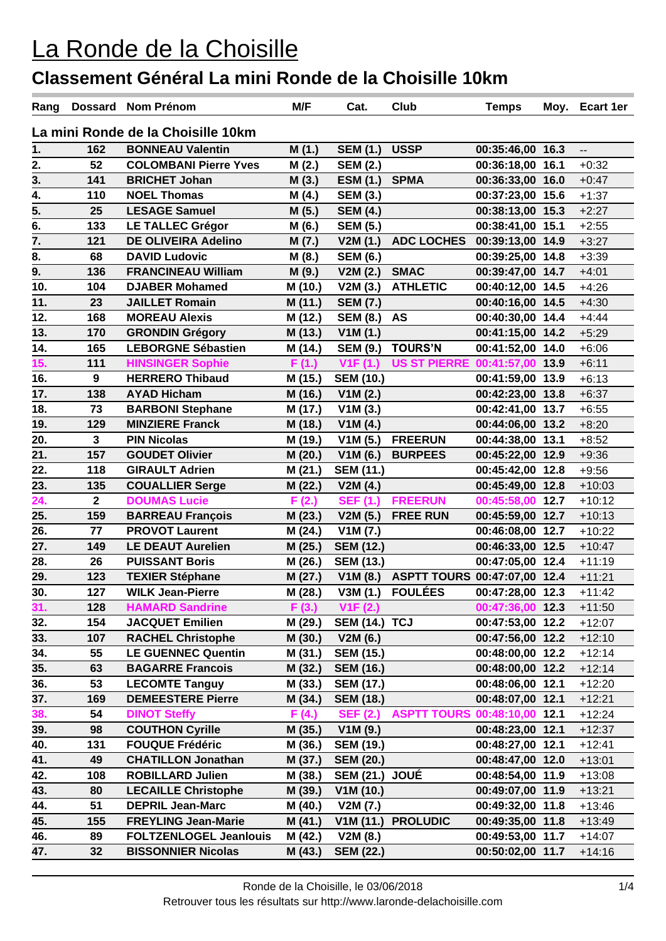| Rang                               |                | Dossard Nom Prénom            | M/F     | Cat.                  | Club                         | <b>Temps</b>     |  | Moy. Ecart 1er           |
|------------------------------------|----------------|-------------------------------|---------|-----------------------|------------------------------|------------------|--|--------------------------|
| La mini Ronde de la Choisille 10km |                |                               |         |                       |                              |                  |  |                          |
| 1.                                 | 162            | <b>BONNEAU Valentin</b>       | M(1.)   | <b>SEM (1.)</b>       | <b>USSP</b>                  | 00:35:46,00 16.3 |  | $\overline{\phantom{a}}$ |
| 2.                                 | 52             | <b>COLOMBANI Pierre Yves</b>  | M(2.)   | <b>SEM (2.)</b>       |                              | 00:36:18,00 16.1 |  | $+0:32$                  |
| 3.                                 | 141            | <b>BRICHET Johan</b>          | M(3.)   | <b>ESM (1.)</b>       | <b>SPMA</b>                  | 00:36:33,00 16.0 |  | $+0:47$                  |
| $\frac{1}{4}$                      | 110            | <b>NOEL Thomas</b>            | M(4.)   | <b>SEM (3.)</b>       |                              | 00:37:23,00 15.6 |  | $+1:37$                  |
| 5.                                 | 25             | <b>LESAGE Samuel</b>          | M(5.)   | <b>SEM (4.)</b>       |                              | 00:38:13,00 15.3 |  | $+2:27$                  |
| $\overline{6}$ .                   | 133            | <b>LE TALLEC Grégor</b>       | M(6.)   | <b>SEM (5.)</b>       |                              | 00:38:41,00 15.1 |  | $+2:55$                  |
| 7.                                 | 121            | <b>DE OLIVEIRA Adelino</b>    | M (7.)  | V2M(1.)               | <b>ADC LOCHES</b>            | 00:39:13,00 14.9 |  | $+3:27$                  |
| 8.                                 | 68             | <b>DAVID Ludovic</b>          | M(8.)   | <b>SEM (6.)</b>       |                              | 00:39:25,00 14.8 |  | $+3:39$                  |
| 9.                                 | 136            | <b>FRANCINEAU William</b>     | M (9.)  | V2M(2.)               | <b>SMAC</b>                  | 00:39:47,00 14.7 |  | $+4:01$                  |
| 10.                                | 104            | <b>DJABER Mohamed</b>         | M (10.) | V2M(3.)               | <b>ATHLETIC</b>              | 00:40:12,00 14.5 |  | $+4:26$                  |
| 11.                                | 23             | <b>JAILLET Romain</b>         | M (11.) | <b>SEM (7.)</b>       |                              | 00:40:16,00 14.5 |  | $+4:30$                  |
| 12.                                | 168            | <b>MOREAU Alexis</b>          | M (12.) | <b>SEM (8.)</b>       | <b>AS</b>                    | 00:40:30,00 14.4 |  | $+4:44$                  |
| 13.                                | 170            | <b>GRONDIN Grégory</b>        | M (13.) | V1M(1.)               |                              | 00:41:15,00 14.2 |  | $+5:29$                  |
| 14.                                | 165            | <b>LEBORGNE Sébastien</b>     | M (14.) | <b>SEM (9.)</b>       | <b>TOURS'N</b>               | 00:41:52,00 14.0 |  | $+6:06$                  |
| 15.                                | 111            | <b>HINSINGER Sophie</b>       | F(1.)   | V1F(1.)               | <b>US ST PIERRE</b>          | 00:41:57,00 13.9 |  | $+6:11$                  |
| 16.                                | 9              | <b>HERRERO Thibaud</b>        | M (15.) | <b>SEM (10.)</b>      |                              | 00:41:59,00 13.9 |  | $+6:13$                  |
| 17.                                | 138            | <b>AYAD Hicham</b>            | M (16.) | V1M(2.)               |                              | 00:42:23,00 13.8 |  | $+6:37$                  |
| 18.                                | 73             | <b>BARBONI Stephane</b>       | M (17.) | V1M(3.)               |                              | 00:42:41,00 13.7 |  | $+6:55$                  |
| 19.                                | 129            | <b>MINZIERE Franck</b>        | M (18.) | V1M(4.)               |                              | 00:44:06,00 13.2 |  | $+8:20$                  |
| 20.                                | $\mathbf{3}$   | <b>PIN Nicolas</b>            | M (19.) | V1M(5.)               | <b>FREERUN</b>               | 00:44:38,00 13.1 |  | $+8:52$                  |
| 21.                                | 157            | <b>GOUDET Olivier</b>         | M (20.) | V1M(6.)               | <b>BURPEES</b>               | 00:45:22,00 12.9 |  | $+9:36$                  |
| 22.                                | 118            | <b>GIRAULT Adrien</b>         | M (21.) | <b>SEM (11.)</b>      |                              | 00:45:42,00 12.8 |  | $+9:56$                  |
| 23.                                | 135            | <b>COUALLIER Serge</b>        | M (22.) | V2M(4.)               |                              | 00:45:49,00 12.8 |  | $+10:03$                 |
| $\overline{24.}$                   | $\overline{2}$ | <b>DOUMAS Lucie</b>           | F(2.)   | <b>SEF (1.)</b>       | <b>FREERUN</b>               | 00:45:58,00 12.7 |  | $+10:12$                 |
| 25.                                | 159            | <b>BARREAU François</b>       | M (23.) | V2M(5.)               | <b>FREE RUN</b>              | 00:45:59,00 12.7 |  | $+10:13$                 |
| 26.                                | 77             | <b>PROVOT Laurent</b>         | M (24.) | V1M(7.)               |                              | 00:46:08,00 12.7 |  | $+10:22$                 |
| 27.                                | 149            | <b>LE DEAUT Aurelien</b>      | M (25.) | <b>SEM (12.)</b>      |                              | 00:46:33,00 12.5 |  | $+10:47$                 |
| 28.                                | 26             | <b>PUISSANT Boris</b>         | M (26.) | <b>SEM (13.)</b>      |                              | 00:47:05,00 12.4 |  | $+11:19$                 |
| 29.                                | 123            | <b>TEXIER Stéphane</b>        | M (27.) | V1M(8.)               | ASPTT TOURS 00:47:07,00 12.4 |                  |  | $+11:21$                 |
| 30.                                | 127            | <b>WILK Jean-Pierre</b>       | M (28.) | V3M(1.)               | <b>FOULÉES</b>               | 00:47:28,00 12.3 |  | $+11:42$                 |
| 31.                                | 128            | <b>HAMARD Sandrine</b>        | F(3.)   | V1F(2.)               |                              | 00:47:36,00 12.3 |  | $+11:50$                 |
| 32.                                | 154            | <b>JACQUET Emilien</b>        | M (29.) | <b>SEM (14.) TCJ</b>  |                              | 00:47:53,00 12.2 |  | $+12:07$                 |
| 33.                                | 107            | <b>RACHEL Christophe</b>      | M (30.) | V2M(6.)               |                              | 00:47:56,00 12.2 |  | $+12:10$                 |
| 34.                                | 55             | <b>LE GUENNEC Quentin</b>     | M (31.) | <b>SEM (15.)</b>      |                              | 00:48:00,00 12.2 |  | $+12:14$                 |
| 35.                                | 63             | <b>BAGARRE Francois</b>       | M (32.) | <b>SEM (16.)</b>      |                              | 00:48:00,00 12.2 |  | $+12:14$                 |
| 36.                                | 53             | <b>LECOMTE Tanguy</b>         | M (33.) | <b>SEM (17.)</b>      |                              | 00:48:06,00 12.1 |  | $+12:20$                 |
| 37.                                | 169            | <b>DEMEESTERE Pierre</b>      | M (34.) | <b>SEM (18.)</b>      |                              | 00:48:07,00 12.1 |  | $+12:21$                 |
| 38.                                | 54             | <b>DINOT Steffy</b>           | F(4.)   | <b>SEF (2.)</b>       | ASPTT TOURS 00:48:10,00 12.1 |                  |  | $+12:24$                 |
| 39.                                | 98             | <b>COUTHON Cyrille</b>        | M (35.) | V1M(9.)               |                              | 00:48:23,00 12.1 |  | $+12:37$                 |
| 40.                                | 131            | <b>FOUQUE Frédéric</b>        | M (36.) | <b>SEM (19.)</b>      |                              | 00:48:27,00 12.1 |  | $+12:41$                 |
| 41.                                | 49             | <b>CHATILLON Jonathan</b>     | M (37.) | <b>SEM (20.)</b>      |                              | 00:48:47,00 12.0 |  | $+13:01$                 |
| 42.                                | 108            | <b>ROBILLARD Julien</b>       | M (38.) | <b>SEM (21.) JOUÉ</b> |                              | 00:48:54,00 11.9 |  | $+13:08$                 |
| 43.                                | 80             | <b>LECAILLE Christophe</b>    | M (39.) | V1M (10.)             |                              | 00:49:07,00 11.9 |  | $+13:21$                 |
| 44.                                | 51             | <b>DEPRIL Jean-Marc</b>       | M (40.) | V2M(7.)               |                              | 00:49:32,00 11.8 |  | $+13:46$                 |
| 45.                                | 155            | <b>FREYLING Jean-Marie</b>    | M (41.) | V1M(11.)              | <b>PROLUDIC</b>              | 00:49:35,00 11.8 |  | $+13:49$                 |
| 46.                                | 89             | <b>FOLTZENLOGEL Jeanlouis</b> | M (42.) | V2M(8.)               |                              | 00:49:53,00 11.7 |  | $+14:07$                 |
| 47.                                | 32             | <b>BISSONNIER Nicolas</b>     | M (43.) | <b>SEM (22.)</b>      |                              | 00:50:02,00 11.7 |  | $+14:16$                 |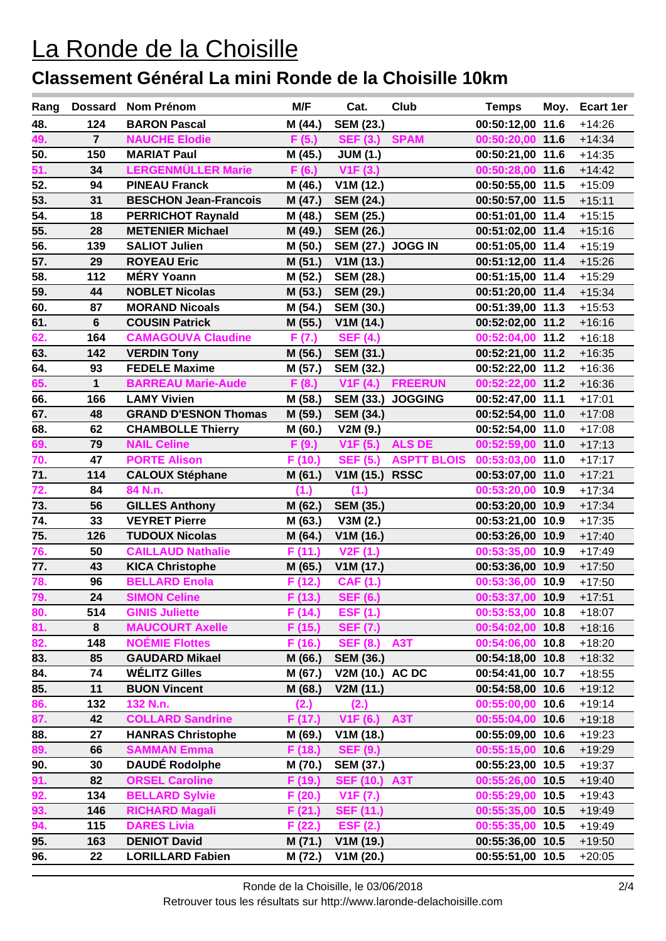| Rang              | Dossard        | Nom Prénom                   | M/F     | Cat.                     | Club               | <b>Temps</b>     | Moy. | Ecart 1er |
|-------------------|----------------|------------------------------|---------|--------------------------|--------------------|------------------|------|-----------|
| 48.               | 124            | <b>BARON Pascal</b>          | M (44.) | <b>SEM (23.)</b>         |                    | 00:50:12,00 11.6 |      | $+14:26$  |
| 49.               | $\overline{7}$ | <b>NAUCHE Elodie</b>         | F(5.)   | SEF (3.) SPAM            |                    | 00:50:20,00 11.6 |      | $+14:34$  |
| 50.               | 150            | <b>MARIAT Paul</b>           | M (45.) | <b>JUM (1.)</b>          |                    | 00:50:21,00 11.6 |      | $+14:35$  |
| 51.               | 34             | <b>LERGENMÜLLER Marie</b>    | F(6.)   | V <sub>1</sub> F (3.)    |                    | 00:50:28,00 11.6 |      | $+14:42$  |
| 52.               | 94             | <b>PINEAU Franck</b>         | M (46.) | V1M(12.)                 |                    | 00:50:55,00 11.5 |      | $+15:09$  |
| 53.               | 31             | <b>BESCHON Jean-Francois</b> | M (47.) | <b>SEM (24.)</b>         |                    | 00:50:57,00 11.5 |      | $+15:11$  |
| 54.               | 18             | <b>PERRICHOT Raynald</b>     | M (48.) | <b>SEM (25.)</b>         |                    | 00:51:01,00 11.4 |      | $+15:15$  |
| 55.               | 28             | <b>METENIER Michael</b>      | M (49.) | <b>SEM (26.)</b>         |                    | 00:51:02,00 11.4 |      | $+15:16$  |
| 56.               | 139            | <b>SALIOT Julien</b>         | M (50.) | <b>SEM (27.) JOGG IN</b> |                    | 00:51:05,00 11.4 |      | $+15:19$  |
| 57.               | 29             | <b>ROYEAU Eric</b>           | M (51.) | V1M(13.)                 |                    | 00:51:12,00 11.4 |      | $+15:26$  |
| 58.               | 112            | <b>MÉRY Yoann</b>            | M (52.) | <b>SEM (28.)</b>         |                    | 00:51:15,00 11.4 |      | $+15:29$  |
| 59.               | 44             | <b>NOBLET Nicolas</b>        | M (53.) | <b>SEM (29.)</b>         |                    | 00:51:20,00 11.4 |      | $+15:34$  |
| 60.               | 87             | <b>MORAND Nicoals</b>        | M (54.) | <b>SEM (30.)</b>         |                    | 00:51:39,00 11.3 |      | $+15:53$  |
| 61.               | $6\phantom{1}$ | <b>COUSIN Patrick</b>        | M (55.) | V1M(14.)                 |                    | 00:52:02,00 11.2 |      | $+16:16$  |
| 62.               | 164            | <b>CAMAGOUVA Claudine</b>    | F(7.)   | <b>SEF (4.)</b>          |                    | 00:52:04,00 11.2 |      | $+16:18$  |
| 63.               | 142            | <b>VERDIN Tony</b>           | M (56.) | <b>SEM (31.)</b>         |                    | 00:52:21,00 11.2 |      | $+16:35$  |
| 64.               | 93             | <b>FEDELE Maxime</b>         | M (57.) | <b>SEM (32.)</b>         |                    | 00:52:22,00 11.2 |      | $+16:36$  |
| 65.               | 1              | <b>BARREAU Marie-Aude</b>    | F(8.)   | V1F(4.)                  | <b>FREERUN</b>     | 00:52:22,00 11.2 |      | $+16:36$  |
| 66.               | 166            | <b>LAMY Vivien</b>           | M (58.) | <b>SEM (33.)</b>         | <b>JOGGING</b>     | 00:52:47,00 11.1 |      | $+17:01$  |
| 67.               | 48             | <b>GRAND D'ESNON Thomas</b>  | M (59.) | <b>SEM (34.)</b>         |                    | 00:52:54,00 11.0 |      | $+17:08$  |
| 68.               | 62             | <b>CHAMBOLLE Thierry</b>     | M (60.) | V2M(9.)                  |                    | 00:52:54,00 11.0 |      | $+17:08$  |
| 69.               | 79             | <b>NAIL Celine</b>           | F(9.)   | V1F(5.)                  | <b>ALS DE</b>      | 00:52:59,00 11.0 |      | $+17:13$  |
| 70.               | 47             | <b>PORTE Alison</b>          | F (10.) | <b>SEF (5.)</b>          | <b>ASPTT BLOIS</b> | 00:53:03,00 11.0 |      | $+17:17$  |
| $\overline{71}$ . | 114            | <b>CALOUX Stéphane</b>       | M (61.) | V1M(15.)                 | <b>RSSC</b>        | 00:53:07,00 11.0 |      | $+17:21$  |
| 72.               | 84             | 84 N.n.                      | (1.)    | (1.)                     |                    | 00:53:20,00 10.9 |      | $+17:34$  |
| 73.               | 56             | <b>GILLES Anthony</b>        | M (62.) | <b>SEM (35.)</b>         |                    | 00:53:20,00 10.9 |      | $+17:34$  |
| 74.               | 33             | <b>VEYRET Pierre</b>         | M (63.) | V3M(2.)                  |                    | 00:53:21,00 10.9 |      | $+17:35$  |
| 75.               | 126            | <b>TUDOUX Nicolas</b>        | M (64.) | V1M (16.)                |                    | 00:53:26,00 10.9 |      | $+17:40$  |
| 76.               | 50             | <b>CAILLAUD Nathalie</b>     | F (11.) | V <sub>2</sub> F(1.)     |                    | 00:53:35,00 10.9 |      | $+17:49$  |
| 77.               | 43             | <b>KICA Christophe</b>       | M (65.) | V1M(17.)                 |                    | 00:53:36,00 10.9 |      | $+17:50$  |
| 78.               | 96             | <b>BELLARD Enola</b>         | F (12.) | <b>CAF (1.)</b>          |                    | 00:53:36,00 10.9 |      | $+17:50$  |
| 79.               | 24             | <b>SIMON Celine</b>          | F(13.)  | <b>SEF (6.)</b>          |                    | 00:53:37,00 10.9 |      | $+17:51$  |
| 80.               | 514            | <b>GINIS Juliette</b>        | F (14.) | <b>ESF (1.)</b>          |                    | 00:53:53,00 10.8 |      | $+18:07$  |
| 81.               | 8              | <b>MAUCOURT Axelle</b>       | F (15.) | <b>SEF (7.)</b>          |                    | 00:54:02,00 10.8 |      | $+18:16$  |
| 82.               | 148            | <b>NOÉMIE Flottes</b>        | F (16.) | <b>SEF (8.)</b>          | A <sub>3</sub> T   | 00:54:06,00 10.8 |      | $+18:20$  |
| 83.               | 85             | <b>GAUDARD Mikael</b>        | M (66.) | <b>SEM (36.)</b>         |                    | 00:54:18,00 10.8 |      | $+18:32$  |
| 84.               | 74             | <b>WÉLITZ Gilles</b>         | M (67.) | V2M (10.) AC DC          |                    | 00:54:41,00 10.7 |      | $+18:55$  |
| 85.               | 11             | <b>BUON Vincent</b>          | M (68.) | V2M (11.)                |                    | 00:54:58,00 10.6 |      | $+19:12$  |
| 86.               | 132            | 132 N.n.                     | (2.)    | (2.)                     |                    | 00:55:00,00 10.6 |      | $+19:14$  |
| 87.               | 42             | <b>COLLARD Sandrine</b>      | F (17.) | V1F(6.)                  | <b>A3T</b>         | 00:55:04,00 10.6 |      | $+19:18$  |
| 88.               | 27             | <b>HANRAS Christophe</b>     | M (69.) | V1M (18.)                |                    | 00:55:09,00 10.6 |      | $+19:23$  |
| 89.               | 66             | <b>SAMMAN Emma</b>           | F (18.) | <b>SEF (9.)</b>          |                    | 00:55:15,00 10.6 |      | $+19:29$  |
| 90.               | 30             | <b>DAUDÉ Rodolphe</b>        | M (70.) | <b>SEM (37.)</b>         |                    | 00:55:23,00 10.5 |      | $+19:37$  |
| 91.               | 82             | <b>ORSEL Caroline</b>        | F (19.) | <b>SEF (10.) A3T</b>     |                    | 00:55:26,00 10.5 |      | $+19:40$  |
| 92.               | 134            | <b>BELLARD Sylvie</b>        | F (20.) | V1F(7.)                  |                    | 00:55:29,00 10.5 |      | $+19:43$  |
| 93.               | 146            | <b>RICHARD Magali</b>        | F (21.) | <b>SEF (11.)</b>         |                    | 00:55:35,00 10.5 |      | $+19:49$  |
| 94.               | 115<br>163     | <b>DARES Livia</b>           | F (22.) | <b>ESF (2.)</b>          |                    | 00:55:35,00 10.5 |      | $+19:49$  |
| 95.               |                | <b>DENIOT David</b>          | M (71.) | V1M (19.)                |                    | 00:55:36,00 10.5 |      | $+19:50$  |
| 96.               | 22             | <b>LORILLARD Fabien</b>      | M (72.) | V1M(20.)                 |                    | 00:55:51,00 10.5 |      | $+20:05$  |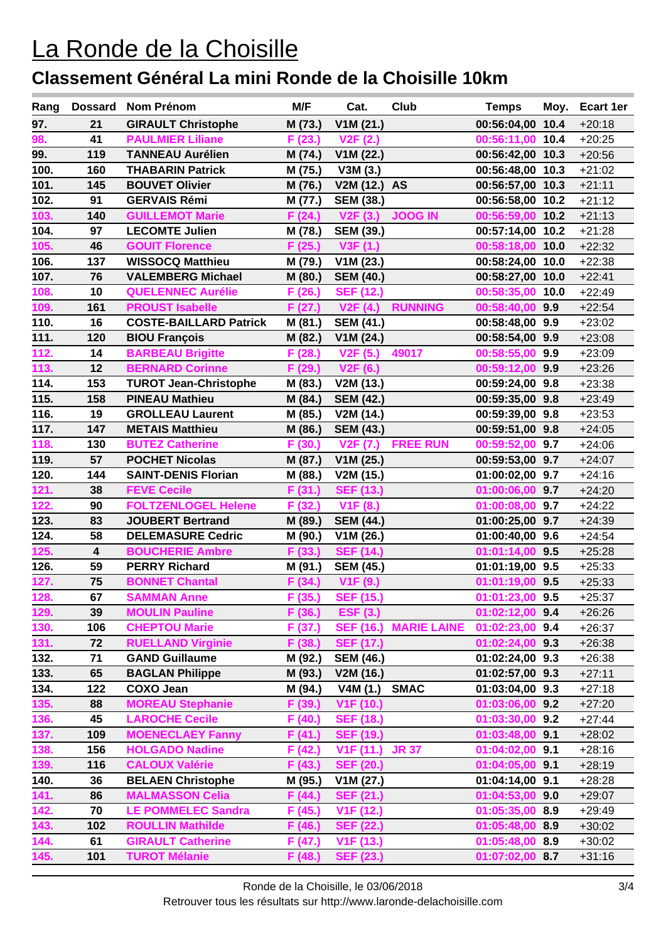| Rang         | <b>Dossard</b>                | Nom Prénom                                    | M/F               | Cat.                                      | <b>Club</b>        | <b>Temps</b>                       | Moy. | <b>Ecart 1er</b>     |
|--------------|-------------------------------|-----------------------------------------------|-------------------|-------------------------------------------|--------------------|------------------------------------|------|----------------------|
| 97.          | 21                            | <b>GIRAULT Christophe</b>                     | M (73.)           | V1M(21.)                                  |                    | 00:56:04,00 10.4                   |      | $+20:18$             |
| 98.          | 41                            | <b>PAULMIER Liliane</b>                       | F (23.)           | V2F(2.)                                   |                    | 00:56:11,00 10.4                   |      | $+20:25$             |
| 99.          | 119                           | <b>TANNEAU Aurélien</b>                       | M (74.)           | V1M(22.)                                  |                    | 00:56:42,00 10.3                   |      | $+20:56$             |
| 100.         | 160                           | <b>THABARIN Patrick</b>                       | M (75.)           | V3M(3.)                                   |                    | 00:56:48,00 10.3                   |      | $+21:02$             |
| 101.         | 145                           | <b>BOUVET Olivier</b>                         | M (76.)           | V2M (12.)                                 | <b>AS</b>          | 00:56:57,00 10.3                   |      | $+21:11$             |
| 102.         | 91                            | <b>GERVAIS Rémi</b>                           | M (77.)           | <b>SEM (38.)</b>                          |                    | 00:56:58,00 10.2                   |      | $+21:12$             |
| 103.         | 140                           | <b>GUILLEMOT Marie</b>                        | F (24.)           | V2F(3.)                                   | <b>JOOG IN</b>     | 00:56:59,00 10.2                   |      | $+21:13$             |
| 104.         | 97                            | <b>LECOMTE Julien</b>                         | M (78.)           | <b>SEM (39.)</b>                          |                    | 00:57:14,00 10.2                   |      | $+21:28$             |
| 105.         | 46                            | <b>GOUIT Florence</b>                         | F (25.)           | V3F (1.)                                  |                    | 00:58:18,00 10.0                   |      | $+22:32$             |
| 106.         | 137                           | <b>WISSOCQ Matthieu</b>                       | M (79.)           | V1M(23.)                                  |                    | 00:58:24,00 10.0                   |      | $+22:38$             |
| 107.         | 76                            | <b>VALEMBERG Michael</b>                      | M (80.)           | <b>SEM (40.)</b>                          |                    | 00:58:27,00 10.0                   |      | $+22:41$             |
| 108.         | 10                            | <b>QUELENNEC Aurélie</b>                      | F (26.)           | <b>SEF (12.)</b>                          |                    | 00:58:35,00 10.0                   |      | $+22:49$             |
| 109.         | 161                           | <b>PROUST Isabelle</b>                        | F(27.)            | V2F(4.)                                   | <b>RUNNING</b>     | 00:58:40,00 9.9                    |      | $+22:54$             |
| 110.         | 16                            | <b>COSTE-BAILLARD Patrick</b>                 | M (81.)           | <b>SEM (41.)</b>                          |                    | 00:58:48,00 9.9                    |      | $+23:02$             |
| 111.         | 120                           | <b>BIOU François</b>                          | M (82.)           | V1M(24.)                                  |                    | 00:58:54,00 9.9                    |      | $+23:08$             |
| 112.         | 14                            | <b>BARBEAU Brigitte</b>                       | F (28.)           | V2F(5.)                                   | 49017              | 00:58:55,00 9.9                    |      | $+23:09$             |
| 113.         | 12                            | <b>BERNARD Corinne</b>                        | F (29.)           | V <sub>2</sub> F (6.)                     |                    | 00:59:12,00 9.9                    |      | $+23:26$             |
| 114.         | 153                           | <b>TUROT Jean-Christophe</b>                  | M (83.)           | V2M (13.)                                 |                    | 00:59:24,00 9.8                    |      | $+23:38$             |
| 115.         | 158                           | <b>PINEAU Mathieu</b>                         | M (84.)           | <b>SEM (42.)</b>                          |                    | 00:59:35,00 9.8                    |      | $+23:49$             |
| 116.         | 19                            | <b>GROLLEAU Laurent</b>                       | M (85.)           | V2M (14.)                                 |                    | 00:59:39,00 9.8                    |      | $+23:53$             |
| 117.         | 147                           | <b>METAIS Matthieu</b>                        | M (86.)           | <b>SEM (43.)</b>                          |                    | 00:59:51,00 9.8                    |      | $+24:05$             |
| 118.         | 130                           | <b>BUTEZ Catherine</b>                        | F(30.)            | V2F(7.)                                   | <b>FREE RUN</b>    | 00:59:52,00 9.7                    |      | $+24:06$             |
| 119.         | 57                            | <b>POCHET Nicolas</b>                         | M (87.)           | V1M(25.)                                  |                    | 00:59:53,00 9.7                    |      | $+24:07$             |
| 120.         | 144                           | <b>SAINT-DENIS Florian</b>                    | M (88.)           | V2M (15.)                                 |                    | 01:00:02,00 9.7                    |      | $+24:16$             |
| 121.         | 38                            | <b>FEVE Cecile</b>                            | F(31.)            | <b>SEF (13.)</b>                          |                    | 01:00:06,00 9.7                    |      | $+24:20$             |
| 122.         | 90                            | <b>FOLTZENLOGEL Helene</b>                    | F (32.)           | V <sub>1</sub> F (8.)                     |                    | 01:00:08,00 9.7                    |      | $+24:22$             |
| 123.         | 83                            | <b>JOUBERT Bertrand</b>                       | M (89.)           | <b>SEM (44.)</b>                          |                    | 01:00:25,00 9.7                    |      | $+24:39$             |
| 124.         | 58                            | <b>DELEMASURE Cedric</b>                      | M (90.)           | V1M (26.)                                 |                    | 01:00:40,00 9.6                    |      | $+24:54$             |
| 125.         | $\overline{\mathbf{4}}$<br>59 | <b>BOUCHERIE Ambre</b>                        | F (33.)           | <b>SEF (14.)</b>                          |                    | $01:01:14,00$ 9.5                  |      | $+25:28$             |
| 126.<br>127. | 75                            | <b>PERRY Richard</b><br><b>BONNET Chantal</b> | M (91.)           | <b>SEM (45.)</b>                          |                    | 01:01:19,00 9.5<br>01:01:19,00 9.5 |      | $+25:33$             |
| 128.         | 67                            |                                               | F (34.)<br>F(35.) | V <sub>1</sub> F (9.)<br><b>SEF (15.)</b> |                    | 01:01:23,00 9.5                    |      | $+25:33$<br>$+25:37$ |
| 129.         | 39                            | <b>SAMMAN Anne</b><br><b>MOULIN Pauline</b>   | F (36.)           | <b>ESF (3.)</b>                           |                    | 01:02:12,00 9.4                    |      |                      |
| 130.         | 106                           | <b>CHEPTOU Marie</b>                          | F (37.)           | <b>SEF (16.)</b>                          | <b>MARIE LAINE</b> | 01:02:23,00 9.4                    |      | $+26:26$<br>$+26:37$ |
| 131.         | 72                            | <b>RUELLAND Virginie</b>                      | F (38.)           | <b>SEF (17.)</b>                          |                    | $01:02:24,00$ 9.3                  |      | $+26:38$             |
| 132.         | 71                            | <b>GAND Guillaume</b>                         | M (92.)           | <b>SEM (46.)</b>                          |                    | 01:02:24,00 9.3                    |      | $+26:38$             |
| 133.         | 65                            | <b>BAGLAN Philippe</b>                        | M (93.)           | V2M (16.)                                 |                    | 01:02:57,00 9.3                    |      | $+27:11$             |
| 134.         | 122                           | <b>COXO Jean</b>                              | M (94.)           | V4M(1.)                                   | <b>SMAC</b>        | 01:03:04,00 9.3                    |      | $+27:18$             |
| 135.         | 88                            | <b>MOREAU Stephanie</b>                       | F (39.)           | V <sub>1</sub> F (10.)                    |                    | 01:03:06,00 9.2                    |      | $+27:20$             |
| 136.         | 45                            | <b>LAROCHE Cecile</b>                         | F (40.)           | <b>SEF (18.)</b>                          |                    | $01:03:30,00$ 9.2                  |      | $+27:44$             |
| 137.         | 109                           | <b>MOENECLAEY Fanny</b>                       | F (41.)           | <b>SEF (19.)</b>                          |                    | 01:03:48,00 9.1                    |      | $+28:02$             |
| 138.         | 156                           | <b>HOLGADO Nadine</b>                         | F (42.)           | V <sub>1</sub> F (11.)                    | <b>JR 37</b>       | 01:04:02,00 9.1                    |      | $+28:16$             |
| 139.         | 116                           | <b>CALOUX Valérie</b>                         | F (43.)           | <b>SEF (20.)</b>                          |                    | 01:04:05,00 9.1                    |      | $+28:19$             |
| 140.         | 36                            | <b>BELAEN Christophe</b>                      | M (95.)           | V1M(27.)                                  |                    | 01:04:14,00 9.1                    |      | $+28:28$             |
| 141.         | 86                            | <b>MALMASSON Celia</b>                        | F (44.)           | <b>SEF (21.)</b>                          |                    | 01:04:53,00 9.0                    |      | $+29:07$             |
| 142.         | 70                            | <b>LE POMMELEC Sandra</b>                     | F (45.)           | V <sub>1</sub> F (12.)                    |                    | $01:05:35,00$ 8.9                  |      | $+29:49$             |
| 143.         | 102                           | <b>ROULLIN Mathilde</b>                       | F (46.)           | <b>SEF (22.)</b>                          |                    | 01:05:48,00 8.9                    |      | $+30:02$             |
| 144.         | 61                            | <b>GIRAULT Catherine</b>                      | F (47.)           | V <sub>1</sub> F (13.)                    |                    | 01:05:48,00 8.9                    |      | $+30:02$             |
| 145.         | 101                           | <b>TUROT Mélanie</b>                          | F (48.)           | <b>SEF (23.)</b>                          |                    | 01:07:02,00 8.7                    |      | $+31:16$             |
|              |                               |                                               |                   |                                           |                    |                                    |      |                      |